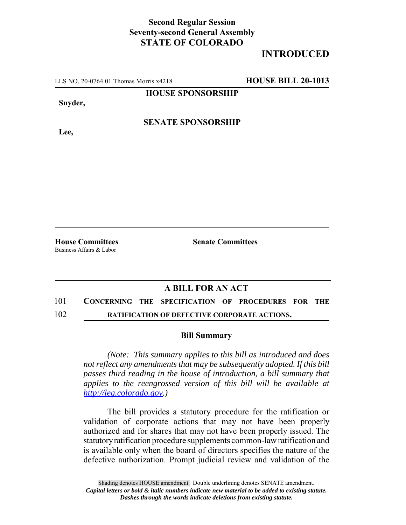### **Second Regular Session Seventy-second General Assembly STATE OF COLORADO**

# **INTRODUCED**

LLS NO. 20-0764.01 Thomas Morris x4218 **HOUSE BILL 20-1013**

**HOUSE SPONSORSHIP**

**Snyder,**

**Lee,**

### **SENATE SPONSORSHIP**

Business Affairs & Labor

**House Committees Senate Committees** 

#### **A BILL FOR AN ACT**

## 101 **CONCERNING THE SPECIFICATION OF PROCEDURES FOR THE**

#### 102 **RATIFICATION OF DEFECTIVE CORPORATE ACTIONS.**

#### **Bill Summary**

*(Note: This summary applies to this bill as introduced and does not reflect any amendments that may be subsequently adopted. If this bill passes third reading in the house of introduction, a bill summary that applies to the reengrossed version of this bill will be available at http://leg.colorado.gov.)*

The bill provides a statutory procedure for the ratification or validation of corporate actions that may not have been properly authorized and for shares that may not have been properly issued. The statutory ratification procedure supplements common-law ratification and is available only when the board of directors specifies the nature of the defective authorization. Prompt judicial review and validation of the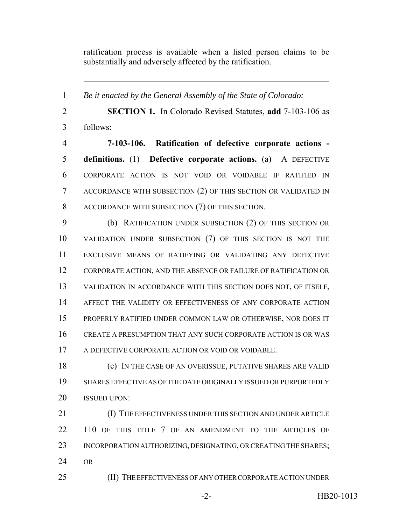ratification process is available when a listed person claims to be substantially and adversely affected by the ratification.

 *Be it enacted by the General Assembly of the State of Colorado:* **SECTION 1.** In Colorado Revised Statutes, **add** 7-103-106 as follows: **7-103-106. Ratification of defective corporate actions - definitions.** (1) **Defective corporate actions.** (a) A DEFECTIVE CORPORATE ACTION IS NOT VOID OR VOIDABLE IF RATIFIED IN ACCORDANCE WITH SUBSECTION (2) OF THIS SECTION OR VALIDATED IN ACCORDANCE WITH SUBSECTION (7) OF THIS SECTION. (b) RATIFICATION UNDER SUBSECTION (2) OF THIS SECTION OR VALIDATION UNDER SUBSECTION (7) OF THIS SECTION IS NOT THE EXCLUSIVE MEANS OF RATIFYING OR VALIDATING ANY DEFECTIVE CORPORATE ACTION, AND THE ABSENCE OR FAILURE OF RATIFICATION OR VALIDATION IN ACCORDANCE WITH THIS SECTION DOES NOT, OF ITSELF, AFFECT THE VALIDITY OR EFFECTIVENESS OF ANY CORPORATE ACTION PROPERLY RATIFIED UNDER COMMON LAW OR OTHERWISE, NOR DOES IT CREATE A PRESUMPTION THAT ANY SUCH CORPORATE ACTION IS OR WAS A DEFECTIVE CORPORATE ACTION OR VOID OR VOIDABLE. (c) IN THE CASE OF AN OVERISSUE, PUTATIVE SHARES ARE VALID SHARES EFFECTIVE AS OF THE DATE ORIGINALLY ISSUED OR PURPORTEDLY ISSUED UPON: (I) THE EFFECTIVENESS UNDER THIS SECTION AND UNDER ARTICLE 22 110 OF THIS TITLE 7 OF AN AMENDMENT TO THE ARTICLES OF 23 INCORPORATION AUTHORIZING, DESIGNATING, OR CREATING THE SHARES;

OR

(II) THE EFFECTIVENESS OF ANY OTHER CORPORATE ACTION UNDER

-2- HB20-1013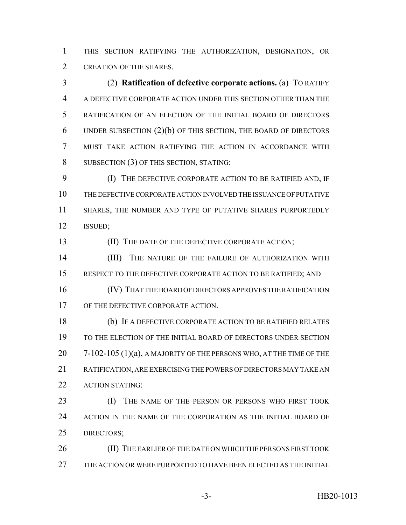THIS SECTION RATIFYING THE AUTHORIZATION, DESIGNATION, OR CREATION OF THE SHARES.

 (2) **Ratification of defective corporate actions.** (a) TO RATIFY A DEFECTIVE CORPORATE ACTION UNDER THIS SECTION OTHER THAN THE RATIFICATION OF AN ELECTION OF THE INITIAL BOARD OF DIRECTORS UNDER SUBSECTION (2)(b) OF THIS SECTION, THE BOARD OF DIRECTORS MUST TAKE ACTION RATIFYING THE ACTION IN ACCORDANCE WITH 8 SUBSECTION (3) OF THIS SECTION, STATING:

 (I) THE DEFECTIVE CORPORATE ACTION TO BE RATIFIED AND, IF THE DEFECTIVE CORPORATE ACTION INVOLVED THE ISSUANCE OF PUTATIVE 11 SHARES, THE NUMBER AND TYPE OF PUTATIVE SHARES PURPORTEDLY ISSUED;

(II) THE DATE OF THE DEFECTIVE CORPORATE ACTION;

14 (III) THE NATURE OF THE FAILURE OF AUTHORIZATION WITH 15 RESPECT TO THE DEFECTIVE CORPORATE ACTION TO BE RATIFIED; AND

 (IV) THAT THE BOARD OF DIRECTORS APPROVES THE RATIFICATION 17 OF THE DEFECTIVE CORPORATE ACTION.

 (b) IF A DEFECTIVE CORPORATE ACTION TO BE RATIFIED RELATES TO THE ELECTION OF THE INITIAL BOARD OF DIRECTORS UNDER SECTION 20 7-102-105 (1)(a), A MAJORITY OF THE PERSONS WHO, AT THE TIME OF THE RATIFICATION, ARE EXERCISING THE POWERS OF DIRECTORS MAY TAKE AN 22 ACTION STATING:

**(I)** THE NAME OF THE PERSON OR PERSONS WHO FIRST TOOK ACTION IN THE NAME OF THE CORPORATION AS THE INITIAL BOARD OF DIRECTORS;

 (II) THE EARLIER OF THE DATE ON WHICH THE PERSONS FIRST TOOK THE ACTION OR WERE PURPORTED TO HAVE BEEN ELECTED AS THE INITIAL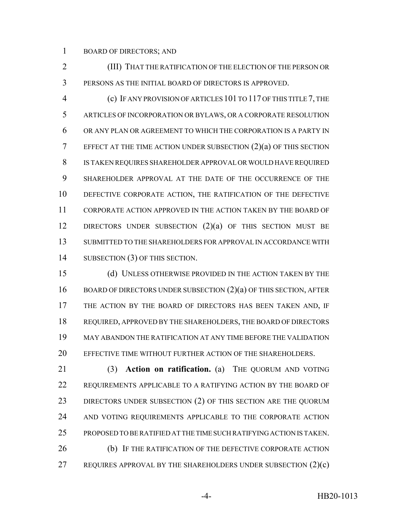BOARD OF DIRECTORS; AND

 (III) THAT THE RATIFICATION OF THE ELECTION OF THE PERSON OR PERSONS AS THE INITIAL BOARD OF DIRECTORS IS APPROVED.

 (c) IF ANY PROVISION OF ARTICLES 101 TO 117 OF THIS TITLE 7, THE ARTICLES OF INCORPORATION OR BYLAWS, OR A CORPORATE RESOLUTION OR ANY PLAN OR AGREEMENT TO WHICH THE CORPORATION IS A PARTY IN EFFECT AT THE TIME ACTION UNDER SUBSECTION  $(2)(a)$  OF THIS SECTION IS TAKEN REQUIRES SHAREHOLDER APPROVAL OR WOULD HAVE REQUIRED SHAREHOLDER APPROVAL AT THE DATE OF THE OCCURRENCE OF THE DEFECTIVE CORPORATE ACTION, THE RATIFICATION OF THE DEFECTIVE CORPORATE ACTION APPROVED IN THE ACTION TAKEN BY THE BOARD OF 12 DIRECTORS UNDER SUBSECTION (2)(a) OF THIS SECTION MUST BE SUBMITTED TO THE SHAREHOLDERS FOR APPROVAL IN ACCORDANCE WITH SUBSECTION (3) OF THIS SECTION.

 (d) UNLESS OTHERWISE PROVIDED IN THE ACTION TAKEN BY THE 16 BOARD OF DIRECTORS UNDER SUBSECTION (2)(a) OF THIS SECTION, AFTER 17 THE ACTION BY THE BOARD OF DIRECTORS HAS BEEN TAKEN AND, IF REQUIRED, APPROVED BY THE SHAREHOLDERS, THE BOARD OF DIRECTORS MAY ABANDON THE RATIFICATION AT ANY TIME BEFORE THE VALIDATION EFFECTIVE TIME WITHOUT FURTHER ACTION OF THE SHAREHOLDERS.

 (3) **Action on ratification.** (a) THE QUORUM AND VOTING REQUIREMENTS APPLICABLE TO A RATIFYING ACTION BY THE BOARD OF 23 DIRECTORS UNDER SUBSECTION (2) OF THIS SECTION ARE THE QUORUM AND VOTING REQUIREMENTS APPLICABLE TO THE CORPORATE ACTION PROPOSED TO BE RATIFIED AT THE TIME SUCH RATIFYING ACTION IS TAKEN. 26 (b) IF THE RATIFICATION OF THE DEFECTIVE CORPORATE ACTION REQUIRES APPROVAL BY THE SHAREHOLDERS UNDER SUBSECTION (2)(c)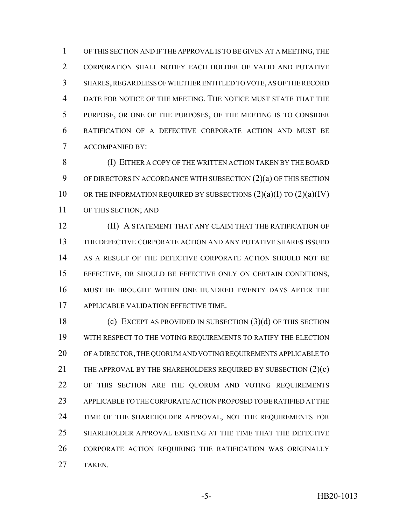OF THIS SECTION AND IF THE APPROVAL IS TO BE GIVEN AT A MEETING, THE CORPORATION SHALL NOTIFY EACH HOLDER OF VALID AND PUTATIVE SHARES, REGARDLESS OF WHETHER ENTITLED TO VOTE, AS OF THE RECORD DATE FOR NOTICE OF THE MEETING. THE NOTICE MUST STATE THAT THE PURPOSE, OR ONE OF THE PURPOSES, OF THE MEETING IS TO CONSIDER RATIFICATION OF A DEFECTIVE CORPORATE ACTION AND MUST BE ACCOMPANIED BY:

 (I) EITHER A COPY OF THE WRITTEN ACTION TAKEN BY THE BOARD OF DIRECTORS IN ACCORDANCE WITH SUBSECTION (2)(a) OF THIS SECTION 10 OR THE INFORMATION REQUIRED BY SUBSECTIONS  $(2)(a)(I)$  TO  $(2)(a)(IV)$ OF THIS SECTION; AND

**(II) A STATEMENT THAT ANY CLAIM THAT THE RATIFICATION OF**  THE DEFECTIVE CORPORATE ACTION AND ANY PUTATIVE SHARES ISSUED AS A RESULT OF THE DEFECTIVE CORPORATE ACTION SHOULD NOT BE EFFECTIVE, OR SHOULD BE EFFECTIVE ONLY ON CERTAIN CONDITIONS, MUST BE BROUGHT WITHIN ONE HUNDRED TWENTY DAYS AFTER THE APPLICABLE VALIDATION EFFECTIVE TIME.

 (c) EXCEPT AS PROVIDED IN SUBSECTION (3)(d) OF THIS SECTION WITH RESPECT TO THE VOTING REQUIREMENTS TO RATIFY THE ELECTION OF A DIRECTOR, THE QUORUM AND VOTING REQUIREMENTS APPLICABLE TO 21 THE APPROVAL BY THE SHAREHOLDERS REQUIRED BY SUBSECTION (2)(c) OF THIS SECTION ARE THE QUORUM AND VOTING REQUIREMENTS APPLICABLE TO THE CORPORATE ACTION PROPOSED TO BE RATIFIED AT THE 24 TIME OF THE SHAREHOLDER APPROVAL, NOT THE REQUIREMENTS FOR SHAREHOLDER APPROVAL EXISTING AT THE TIME THAT THE DEFECTIVE CORPORATE ACTION REQUIRING THE RATIFICATION WAS ORIGINALLY TAKEN.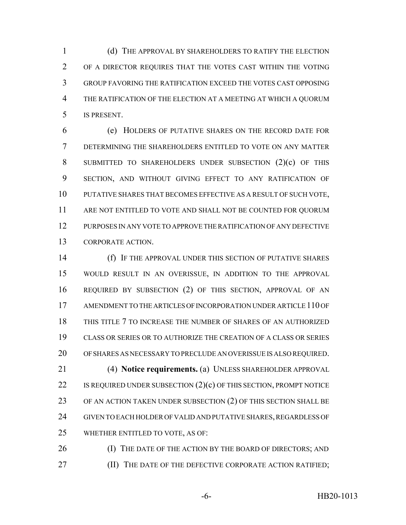(d) THE APPROVAL BY SHAREHOLDERS TO RATIFY THE ELECTION OF A DIRECTOR REQUIRES THAT THE VOTES CAST WITHIN THE VOTING GROUP FAVORING THE RATIFICATION EXCEED THE VOTES CAST OPPOSING THE RATIFICATION OF THE ELECTION AT A MEETING AT WHICH A QUORUM IS PRESENT.

 (e) HOLDERS OF PUTATIVE SHARES ON THE RECORD DATE FOR DETERMINING THE SHAREHOLDERS ENTITLED TO VOTE ON ANY MATTER SUBMITTED TO SHAREHOLDERS UNDER SUBSECTION (2)(c) OF THIS SECTION, AND WITHOUT GIVING EFFECT TO ANY RATIFICATION OF PUTATIVE SHARES THAT BECOMES EFFECTIVE AS A RESULT OF SUCH VOTE, ARE NOT ENTITLED TO VOTE AND SHALL NOT BE COUNTED FOR QUORUM PURPOSES IN ANY VOTE TO APPROVE THE RATIFICATION OF ANY DEFECTIVE CORPORATE ACTION.

 (f) IF THE APPROVAL UNDER THIS SECTION OF PUTATIVE SHARES WOULD RESULT IN AN OVERISSUE, IN ADDITION TO THE APPROVAL REQUIRED BY SUBSECTION (2) OF THIS SECTION, APPROVAL OF AN AMENDMENT TO THE ARTICLES OF INCORPORATION UNDER ARTICLE 110 OF THIS TITLE 7 TO INCREASE THE NUMBER OF SHARES OF AN AUTHORIZED CLASS OR SERIES OR TO AUTHORIZE THE CREATION OF A CLASS OR SERIES OF SHARES AS NECESSARY TO PRECLUDE AN OVERISSUE IS ALSO REQUIRED. (4) **Notice requirements.** (a) UNLESS SHAREHOLDER APPROVAL 22 IS REQUIRED UNDER SUBSECTION (2)(c) OF THIS SECTION, PROMPT NOTICE OF AN ACTION TAKEN UNDER SUBSECTION (2) OF THIS SECTION SHALL BE GIVEN TO EACH HOLDER OF VALID AND PUTATIVE SHARES, REGARDLESS OF WHETHER ENTITLED TO VOTE, AS OF:

26 (I) THE DATE OF THE ACTION BY THE BOARD OF DIRECTORS; AND **(II) THE DATE OF THE DEFECTIVE CORPORATE ACTION RATIFIED;**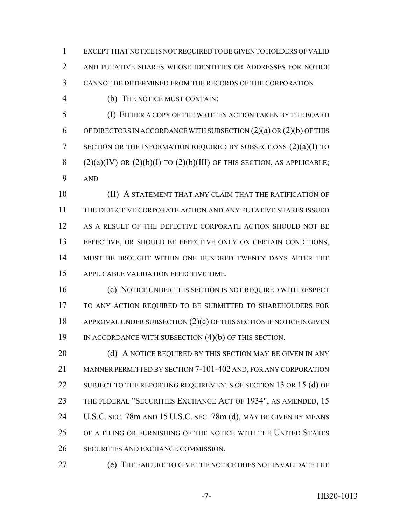EXCEPT THAT NOTICE IS NOT REQUIRED TO BE GIVEN TO HOLDERS OF VALID AND PUTATIVE SHARES WHOSE IDENTITIES OR ADDRESSES FOR NOTICE CANNOT BE DETERMINED FROM THE RECORDS OF THE CORPORATION.

(b) THE NOTICE MUST CONTAIN:

 (I) EITHER A COPY OF THE WRITTEN ACTION TAKEN BY THE BOARD 6 OF DIRECTORS IN ACCORDANCE WITH SUBSECTION  $(2)(a)$  OR  $(2)(b)$  OF THIS SECTION OR THE INFORMATION REQUIRED BY SUBSECTIONS (2)(a)(I) TO 8 (2)(a)(IV) OR (2)(b)(I) TO (2)(b)(III) OF THIS SECTION, AS APPLICABLE; AND

 (II) A STATEMENT THAT ANY CLAIM THAT THE RATIFICATION OF THE DEFECTIVE CORPORATE ACTION AND ANY PUTATIVE SHARES ISSUED 12 AS A RESULT OF THE DEFECTIVE CORPORATE ACTION SHOULD NOT BE EFFECTIVE, OR SHOULD BE EFFECTIVE ONLY ON CERTAIN CONDITIONS, MUST BE BROUGHT WITHIN ONE HUNDRED TWENTY DAYS AFTER THE APPLICABLE VALIDATION EFFECTIVE TIME.

 (c) NOTICE UNDER THIS SECTION IS NOT REQUIRED WITH RESPECT TO ANY ACTION REQUIRED TO BE SUBMITTED TO SHAREHOLDERS FOR 18 APPROVAL UNDER SUBSECTION (2)(c) OF THIS SECTION IF NOTICE IS GIVEN IN ACCORDANCE WITH SUBSECTION (4)(b) OF THIS SECTION.

20 (d) A NOTICE REQUIRED BY THIS SECTION MAY BE GIVEN IN ANY MANNER PERMITTED BY SECTION 7-101-402 AND, FOR ANY CORPORATION 22 SUBJECT TO THE REPORTING REQUIREMENTS OF SECTION 13 OR 15 (d) OF THE FEDERAL "SECURITIES EXCHANGE ACT OF 1934", AS AMENDED, 15 U.S.C. SEC. 78m AND 15 U.S.C. SEC. 78m (d), MAY BE GIVEN BY MEANS OF A FILING OR FURNISHING OF THE NOTICE WITH THE UNITED STATES SECURITIES AND EXCHANGE COMMISSION.

(e) THE FAILURE TO GIVE THE NOTICE DOES NOT INVALIDATE THE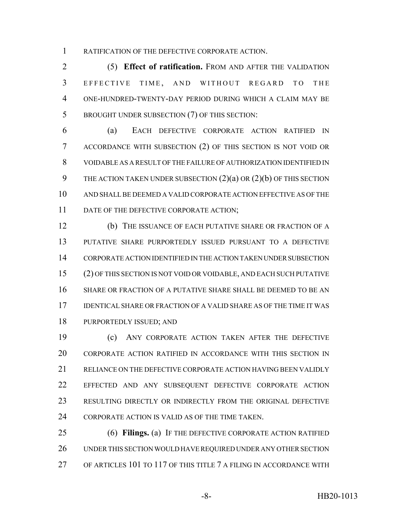RATIFICATION OF THE DEFECTIVE CORPORATE ACTION.

 (5) **Effect of ratification.** FROM AND AFTER THE VALIDATION EFFECTIVE TIME , AND WITHOUT REGARD TO THE ONE-HUNDRED-TWENTY-DAY PERIOD DURING WHICH A CLAIM MAY BE BROUGHT UNDER SUBSECTION (7) OF THIS SECTION:

 (a) EACH DEFECTIVE CORPORATE ACTION RATIFIED IN ACCORDANCE WITH SUBSECTION (2) OF THIS SECTION IS NOT VOID OR VOIDABLE AS A RESULT OF THE FAILURE OF AUTHORIZATION IDENTIFIED IN 9 THE ACTION TAKEN UNDER SUBSECTION  $(2)(a)$  OR  $(2)(b)$  OF THIS SECTION AND SHALL BE DEEMED A VALID CORPORATE ACTION EFFECTIVE AS OF THE 11 DATE OF THE DEFECTIVE CORPORATE ACTION;

 (b) THE ISSUANCE OF EACH PUTATIVE SHARE OR FRACTION OF A PUTATIVE SHARE PURPORTEDLY ISSUED PURSUANT TO A DEFECTIVE CORPORATE ACTION IDENTIFIED IN THE ACTION TAKEN UNDER SUBSECTION (2) OF THIS SECTION IS NOT VOID OR VOIDABLE, AND EACH SUCH PUTATIVE SHARE OR FRACTION OF A PUTATIVE SHARE SHALL BE DEEMED TO BE AN IDENTICAL SHARE OR FRACTION OF A VALID SHARE AS OF THE TIME IT WAS PURPORTEDLY ISSUED; AND

 (c) ANY CORPORATE ACTION TAKEN AFTER THE DEFECTIVE CORPORATE ACTION RATIFIED IN ACCORDANCE WITH THIS SECTION IN RELIANCE ON THE DEFECTIVE CORPORATE ACTION HAVING BEEN VALIDLY EFFECTED AND ANY SUBSEQUENT DEFECTIVE CORPORATE ACTION RESULTING DIRECTLY OR INDIRECTLY FROM THE ORIGINAL DEFECTIVE CORPORATE ACTION IS VALID AS OF THE TIME TAKEN.

 (6) **Filings.** (a) IF THE DEFECTIVE CORPORATE ACTION RATIFIED UNDER THIS SECTION WOULD HAVE REQUIRED UNDER ANY OTHER SECTION OF ARTICLES 101 TO 117 OF THIS TITLE 7 A FILING IN ACCORDANCE WITH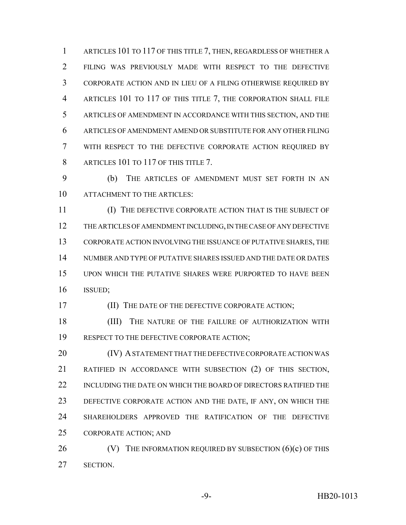1 ARTICLES 101 TO 117 OF THIS TITLE 7, THEN, REGARDLESS OF WHETHER A FILING WAS PREVIOUSLY MADE WITH RESPECT TO THE DEFECTIVE CORPORATE ACTION AND IN LIEU OF A FILING OTHERWISE REQUIRED BY ARTICLES 101 TO 117 OF THIS TITLE 7, THE CORPORATION SHALL FILE ARTICLES OF AMENDMENT IN ACCORDANCE WITH THIS SECTION, AND THE ARTICLES OF AMENDMENT AMEND OR SUBSTITUTE FOR ANY OTHER FILING WITH RESPECT TO THE DEFECTIVE CORPORATE ACTION REQUIRED BY 8 ARTICLES 101 TO 117 OF THIS TITLE 7.

 (b) THE ARTICLES OF AMENDMENT MUST SET FORTH IN AN ATTACHMENT TO THE ARTICLES:

 (I) THE DEFECTIVE CORPORATE ACTION THAT IS THE SUBJECT OF THE ARTICLES OF AMENDMENT INCLUDING, IN THE CASE OF ANY DEFECTIVE CORPORATE ACTION INVOLVING THE ISSUANCE OF PUTATIVE SHARES, THE NUMBER AND TYPE OF PUTATIVE SHARES ISSUED AND THE DATE OR DATES UPON WHICH THE PUTATIVE SHARES WERE PURPORTED TO HAVE BEEN ISSUED;

(II) THE DATE OF THE DEFECTIVE CORPORATE ACTION;

18 (III) THE NATURE OF THE FAILURE OF AUTHORIZATION WITH RESPECT TO THE DEFECTIVE CORPORATE ACTION;

**(IV) A STATEMENT THAT THE DEFECTIVE CORPORATE ACTION WAS**  RATIFIED IN ACCORDANCE WITH SUBSECTION (2) OF THIS SECTION, INCLUDING THE DATE ON WHICH THE BOARD OF DIRECTORS RATIFIED THE DEFECTIVE CORPORATE ACTION AND THE DATE, IF ANY, ON WHICH THE SHAREHOLDERS APPROVED THE RATIFICATION OF THE DEFECTIVE CORPORATE ACTION; AND

26  $(V)$  The INFORMATION REQUIRED BY SUBSECTION  $(6)(c)$  OF THIS SECTION.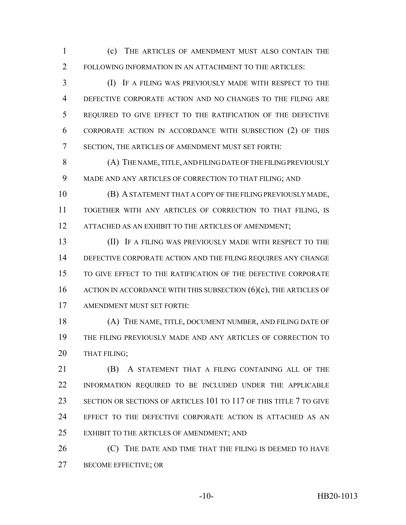(c) THE ARTICLES OF AMENDMENT MUST ALSO CONTAIN THE FOLLOWING INFORMATION IN AN ATTACHMENT TO THE ARTICLES:

 (I) IF A FILING WAS PREVIOUSLY MADE WITH RESPECT TO THE DEFECTIVE CORPORATE ACTION AND NO CHANGES TO THE FILING ARE REQUIRED TO GIVE EFFECT TO THE RATIFICATION OF THE DEFECTIVE CORPORATE ACTION IN ACCORDANCE WITH SUBSECTION (2) OF THIS SECTION, THE ARTICLES OF AMENDMENT MUST SET FORTH:

 (A) THE NAME, TITLE, AND FILING DATE OF THE FILING PREVIOUSLY MADE AND ANY ARTICLES OF CORRECTION TO THAT FILING; AND

 (B) A STATEMENT THAT A COPY OF THE FILING PREVIOUSLY MADE, TOGETHER WITH ANY ARTICLES OF CORRECTION TO THAT FILING, IS 12 ATTACHED AS AN EXHIBIT TO THE ARTICLES OF AMENDMENT;

**III)** IF A FILING WAS PREVIOUSLY MADE WITH RESPECT TO THE DEFECTIVE CORPORATE ACTION AND THE FILING REQUIRES ANY CHANGE TO GIVE EFFECT TO THE RATIFICATION OF THE DEFECTIVE CORPORATE 16 ACTION IN ACCORDANCE WITH THIS SUBSECTION (6)(c), THE ARTICLES OF AMENDMENT MUST SET FORTH:

 (A) THE NAME, TITLE, DOCUMENT NUMBER, AND FILING DATE OF THE FILING PREVIOUSLY MADE AND ANY ARTICLES OF CORRECTION TO THAT FILING;

 (B) A STATEMENT THAT A FILING CONTAINING ALL OF THE INFORMATION REQUIRED TO BE INCLUDED UNDER THE APPLICABLE SECTION OR SECTIONS OF ARTICLES 101 TO 117 OF THIS TITLE 7 TO GIVE EFFECT TO THE DEFECTIVE CORPORATE ACTION IS ATTACHED AS AN EXHIBIT TO THE ARTICLES OF AMENDMENT; AND

**(C)** THE DATE AND TIME THAT THE FILING IS DEEMED TO HAVE BECOME EFFECTIVE; OR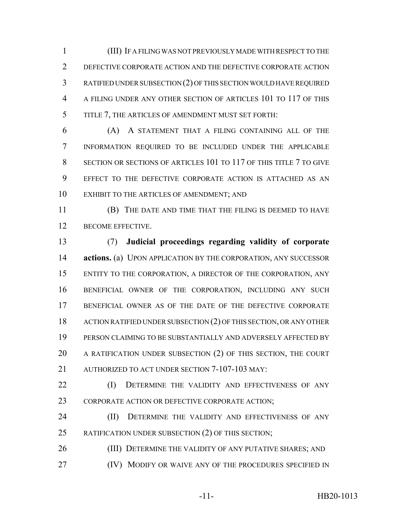(III) IF A FILING WAS NOT PREVIOUSLY MADE WITH RESPECT TO THE DEFECTIVE CORPORATE ACTION AND THE DEFECTIVE CORPORATE ACTION RATIFIED UNDER SUBSECTION (2) OF THIS SECTION WOULD HAVE REQUIRED A FILING UNDER ANY OTHER SECTION OF ARTICLES 101 TO 117 OF THIS TITLE 7, THE ARTICLES OF AMENDMENT MUST SET FORTH:

 (A) A STATEMENT THAT A FILING CONTAINING ALL OF THE INFORMATION REQUIRED TO BE INCLUDED UNDER THE APPLICABLE SECTION OR SECTIONS OF ARTICLES 101 TO 117 OF THIS TITLE 7 TO GIVE EFFECT TO THE DEFECTIVE CORPORATE ACTION IS ATTACHED AS AN EXHIBIT TO THE ARTICLES OF AMENDMENT; AND

 (B) THE DATE AND TIME THAT THE FILING IS DEEMED TO HAVE 12 BECOME EFFECTIVE.

 (7) **Judicial proceedings regarding validity of corporate actions.** (a) UPON APPLICATION BY THE CORPORATION, ANY SUCCESSOR ENTITY TO THE CORPORATION, A DIRECTOR OF THE CORPORATION, ANY BENEFICIAL OWNER OF THE CORPORATION, INCLUDING ANY SUCH 17 BENEFICIAL OWNER AS OF THE DATE OF THE DEFECTIVE CORPORATE ACTION RATIFIED UNDER SUBSECTION (2) OF THIS SECTION, OR ANY OTHER PERSON CLAIMING TO BE SUBSTANTIALLY AND ADVERSELY AFFECTED BY A RATIFICATION UNDER SUBSECTION (2) OF THIS SECTION, THE COURT AUTHORIZED TO ACT UNDER SECTION 7-107-103 MAY:

22 (I) DETERMINE THE VALIDITY AND EFFECTIVENESS OF ANY 23 CORPORATE ACTION OR DEFECTIVE CORPORATE ACTION;

24 (II) DETERMINE THE VALIDITY AND EFFECTIVENESS OF ANY RATIFICATION UNDER SUBSECTION (2) OF THIS SECTION;

26 (III) DETERMINE THE VALIDITY OF ANY PUTATIVE SHARES; AND **(IV) MODIFY OR WAIVE ANY OF THE PROCEDURES SPECIFIED IN**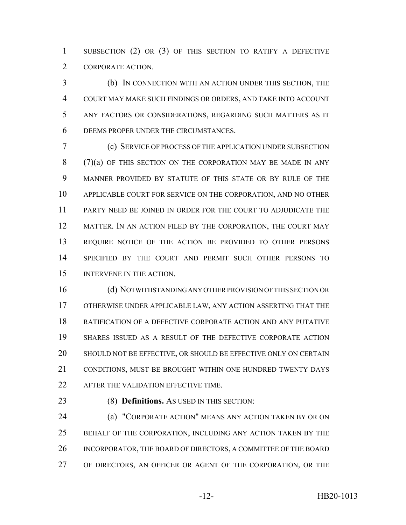SUBSECTION (2) OR (3) OF THIS SECTION TO RATIFY A DEFECTIVE CORPORATE ACTION.

 (b) IN CONNECTION WITH AN ACTION UNDER THIS SECTION, THE COURT MAY MAKE SUCH FINDINGS OR ORDERS, AND TAKE INTO ACCOUNT ANY FACTORS OR CONSIDERATIONS, REGARDING SUCH MATTERS AS IT DEEMS PROPER UNDER THE CIRCUMSTANCES.

 (c) SERVICE OF PROCESS OF THE APPLICATION UNDER SUBSECTION 8 (7)(a) OF THIS SECTION ON THE CORPORATION MAY BE MADE IN ANY MANNER PROVIDED BY STATUTE OF THIS STATE OR BY RULE OF THE APPLICABLE COURT FOR SERVICE ON THE CORPORATION, AND NO OTHER PARTY NEED BE JOINED IN ORDER FOR THE COURT TO ADJUDICATE THE 12 MATTER. IN AN ACTION FILED BY THE CORPORATION, THE COURT MAY REQUIRE NOTICE OF THE ACTION BE PROVIDED TO OTHER PERSONS SPECIFIED BY THE COURT AND PERMIT SUCH OTHER PERSONS TO INTERVENE IN THE ACTION.

 (d) NOTWITHSTANDING ANY OTHER PROVISION OF THIS SECTION OR OTHERWISE UNDER APPLICABLE LAW, ANY ACTION ASSERTING THAT THE RATIFICATION OF A DEFECTIVE CORPORATE ACTION AND ANY PUTATIVE SHARES ISSUED AS A RESULT OF THE DEFECTIVE CORPORATE ACTION SHOULD NOT BE EFFECTIVE, OR SHOULD BE EFFECTIVE ONLY ON CERTAIN CONDITIONS, MUST BE BROUGHT WITHIN ONE HUNDRED TWENTY DAYS AFTER THE VALIDATION EFFECTIVE TIME.

(8) **Definitions.** AS USED IN THIS SECTION:

**(a) "CORPORATE ACTION" MEANS ANY ACTION TAKEN BY OR ON**  BEHALF OF THE CORPORATION, INCLUDING ANY ACTION TAKEN BY THE INCORPORATOR, THE BOARD OF DIRECTORS, A COMMITTEE OF THE BOARD OF DIRECTORS, AN OFFICER OR AGENT OF THE CORPORATION, OR THE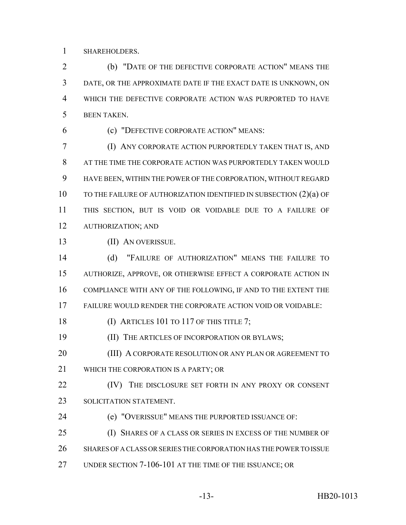SHAREHOLDERS.

 (b) "DATE OF THE DEFECTIVE CORPORATE ACTION" MEANS THE DATE, OR THE APPROXIMATE DATE IF THE EXACT DATE IS UNKNOWN, ON WHICH THE DEFECTIVE CORPORATE ACTION WAS PURPORTED TO HAVE BEEN TAKEN.

(c) "DEFECTIVE CORPORATE ACTION" MEANS:

 (I) ANY CORPORATE ACTION PURPORTEDLY TAKEN THAT IS, AND AT THE TIME THE CORPORATE ACTION WAS PURPORTEDLY TAKEN WOULD HAVE BEEN, WITHIN THE POWER OF THE CORPORATION, WITHOUT REGARD 10 TO THE FAILURE OF AUTHORIZATION IDENTIFIED IN SUBSECTION (2)(a) OF THIS SECTION, BUT IS VOID OR VOIDABLE DUE TO A FAILURE OF AUTHORIZATION; AND

(II) AN OVERISSUE.

 (d) "FAILURE OF AUTHORIZATION" MEANS THE FAILURE TO AUTHORIZE, APPROVE, OR OTHERWISE EFFECT A CORPORATE ACTION IN COMPLIANCE WITH ANY OF THE FOLLOWING, IF AND TO THE EXTENT THE FAILURE WOULD RENDER THE CORPORATE ACTION VOID OR VOIDABLE:

18 (I) ARTICLES 101 TO 117 OF THIS TITLE 7;

(II) THE ARTICLES OF INCORPORATION OR BYLAWS;

20 (III) A CORPORATE RESOLUTION OR ANY PLAN OR AGREEMENT TO

WHICH THE CORPORATION IS A PARTY; OR

**(IV)** THE DISCLOSURE SET FORTH IN ANY PROXY OR CONSENT SOLICITATION STATEMENT.

- (e) "OVERISSUE" MEANS THE PURPORTED ISSUANCE OF:
- (I) SHARES OF A CLASS OR SERIES IN EXCESS OF THE NUMBER OF
- SHARES OF A CLASS OR SERIES THE CORPORATION HAS THE POWER TO ISSUE
- UNDER SECTION 7-106-101 AT THE TIME OF THE ISSUANCE; OR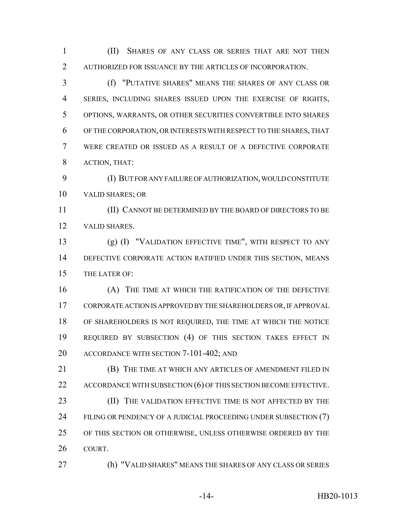(II) SHARES OF ANY CLASS OR SERIES THAT ARE NOT THEN AUTHORIZED FOR ISSUANCE BY THE ARTICLES OF INCORPORATION.

 (f) "PUTATIVE SHARES" MEANS THE SHARES OF ANY CLASS OR SERIES, INCLUDING SHARES ISSUED UPON THE EXERCISE OF RIGHTS, OPTIONS, WARRANTS, OR OTHER SECURITIES CONVERTIBLE INTO SHARES OF THE CORPORATION, OR INTERESTS WITH RESPECT TO THE SHARES, THAT WERE CREATED OR ISSUED AS A RESULT OF A DEFECTIVE CORPORATE ACTION, THAT:

 (I) BUT FOR ANY FAILURE OF AUTHORIZATION, WOULD CONSTITUTE VALID SHARES; OR

 (II) CANNOT BE DETERMINED BY THE BOARD OF DIRECTORS TO BE VALID SHARES.

 (g) (I) "VALIDATION EFFECTIVE TIME", WITH RESPECT TO ANY DEFECTIVE CORPORATE ACTION RATIFIED UNDER THIS SECTION, MEANS THE LATER OF:

 (A) THE TIME AT WHICH THE RATIFICATION OF THE DEFECTIVE CORPORATE ACTION IS APPROVED BY THE SHAREHOLDERS OR, IF APPROVAL OF SHAREHOLDERS IS NOT REQUIRED, THE TIME AT WHICH THE NOTICE REQUIRED BY SUBSECTION (4) OF THIS SECTION TAKES EFFECT IN ACCORDANCE WITH SECTION 7-101-402; AND

 (B) THE TIME AT WHICH ANY ARTICLES OF AMENDMENT FILED IN 22 ACCORDANCE WITH SUBSECTION (6) OF THIS SECTION BECOME EFFECTIVE. **(II)** THE VALIDATION EFFECTIVE TIME IS NOT AFFECTED BY THE 24 FILING OR PENDENCY OF A JUDICIAL PROCEEDING UNDER SUBSECTION (7) OF THIS SECTION OR OTHERWISE, UNLESS OTHERWISE ORDERED BY THE COURT.

(h) "VALID SHARES" MEANS THE SHARES OF ANY CLASS OR SERIES